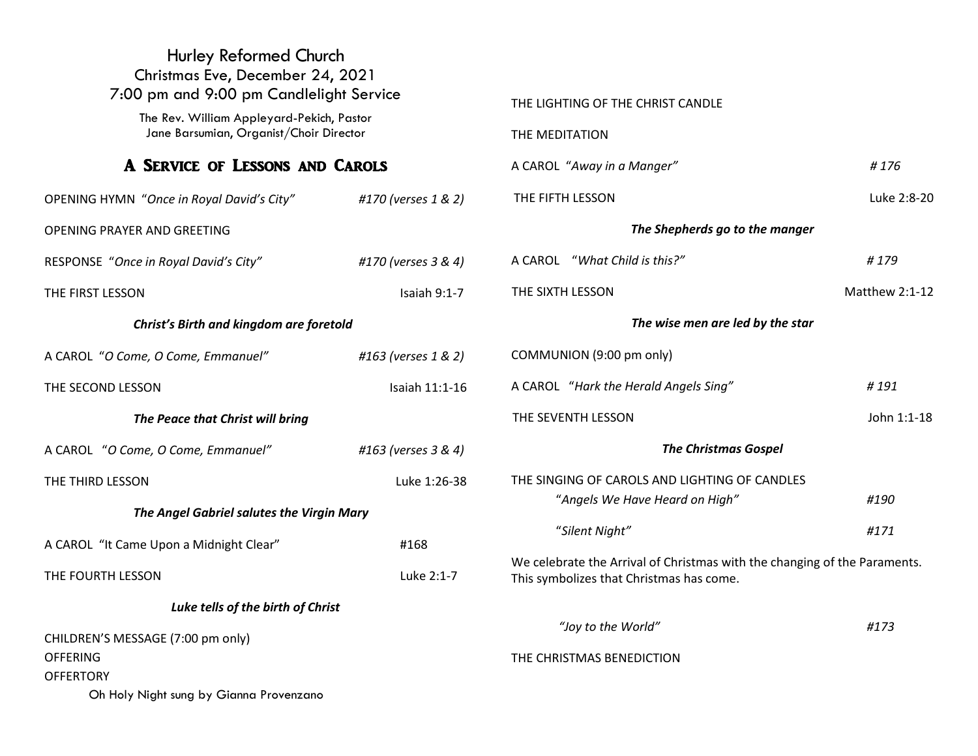| Hurley Reformed Church<br>Christmas Eve, December 24, 2021<br>7:00 pm and 9:00 pm Candlelight Service                   |                     | THE LIGHTING OF THE CHRIST CANDLE                                                                                     |                |
|-------------------------------------------------------------------------------------------------------------------------|---------------------|-----------------------------------------------------------------------------------------------------------------------|----------------|
| The Rev. William Appleyard-Pekich, Pastor<br>Jane Barsumian, Organist/Choir Director<br>A SERVICE OF LESSONS AND CAROLS |                     | THE MEDITATION                                                                                                        |                |
|                                                                                                                         |                     | A CAROL "Away in a Manger"                                                                                            | #176           |
| OPENING HYMN "Once in Royal David's City"                                                                               | #170 (verses 1 & 2) | THE FIFTH LESSON                                                                                                      | Luke 2:8-20    |
| OPENING PRAYER AND GREETING                                                                                             |                     | The Shepherds go to the manger                                                                                        |                |
| RESPONSE "Once in Royal David's City"                                                                                   | #170 (verses 3 & 4) | A CAROL "What Child is this?"                                                                                         | #179           |
| THE FIRST LESSON                                                                                                        | Isaiah 9:1-7        | THE SIXTH LESSON                                                                                                      | Matthew 2:1-12 |
| Christ's Birth and kingdom are foretold                                                                                 |                     | The wise men are led by the star                                                                                      |                |
| A CAROL "O Come, O Come, Emmanuel"                                                                                      | #163 (verses 1 & 2) | COMMUNION (9:00 pm only)                                                                                              |                |
| THE SECOND LESSON                                                                                                       | Isaiah 11:1-16      | A CAROL "Hark the Herald Angels Sing"                                                                                 | #191           |
| The Peace that Christ will bring                                                                                        |                     | THE SEVENTH LESSON                                                                                                    | John 1:1-18    |
| A CAROL "O Come, O Come, Emmanuel"                                                                                      | #163 (verses 3 & 4) | <b>The Christmas Gospel</b>                                                                                           |                |
| THE THIRD LESSON                                                                                                        | Luke 1:26-38        | THE SINGING OF CAROLS AND LIGHTING OF CANDLES                                                                         |                |
| The Angel Gabriel salutes the Virgin Mary                                                                               |                     | "Angels We Have Heard on High"                                                                                        | #190           |
| A CAROL "It Came Upon a Midnight Clear"                                                                                 | #168                | "Silent Night"                                                                                                        | #171           |
| THE FOURTH LESSON                                                                                                       | Luke 2:1-7          | We celebrate the Arrival of Christmas with the changing of the Paraments.<br>This symbolizes that Christmas has come. |                |
| Luke tells of the birth of Christ                                                                                       |                     |                                                                                                                       |                |
| CHILDREN'S MESSAGE (7:00 pm only)<br><b>OFFERING</b><br><b>OFFERTORY</b>                                                |                     | "Joy to the World"<br>THE CHRISTMAS BENEDICTION                                                                       | #173           |
| Oh Holy Night sung by Gianna Provenzano                                                                                 |                     |                                                                                                                       |                |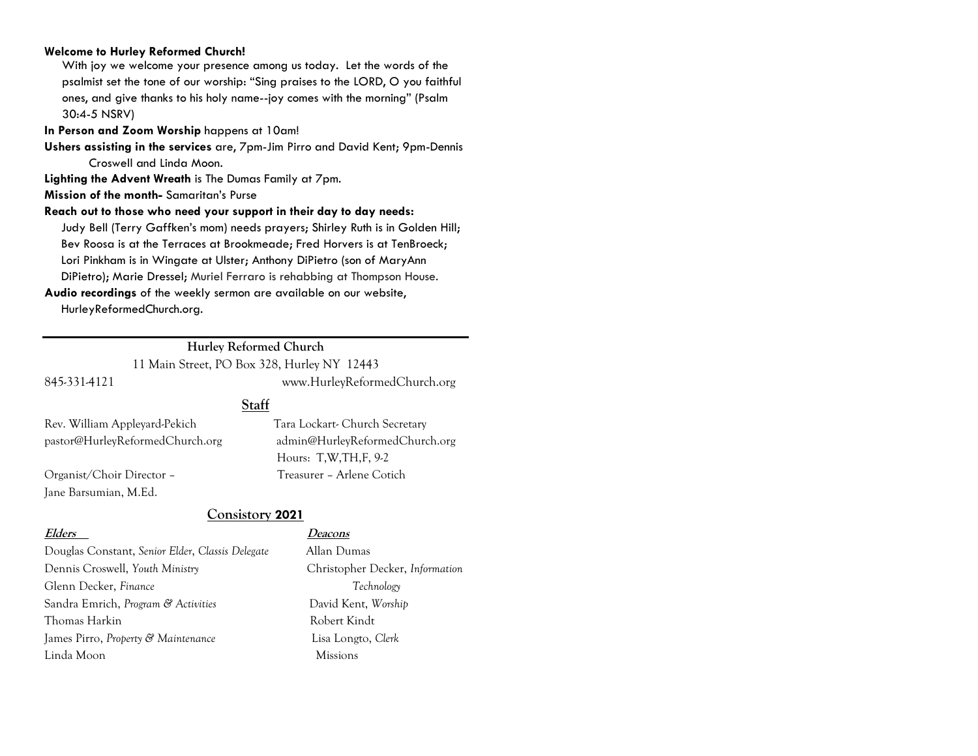#### **Welcome to Hurley Reformed Church!**

With joy we welcome your presence among us today. Let the words of the psalmist set the tone of our worship: "Sing praises to the LORD, O you faithful ones, and give thanks to his holy name--joy comes with the morning" (Psalm 30:4-5 NSRV)

**In Person and Zoom Worship** happens at 10am!

**Ushers assisting in the services** are, 7pm-Jim Pirro and David Kent; 9pm-Dennis Croswell and Linda Moon.

**Lighting the Advent Wreath** is The Dumas Family at 7pm.

**Mission of the month-** Samaritan's Purse

**Reach out to those who need your support in their day to day needs:** 

Judy Bell (Terry Gaffken's mom) needs prayers; Shirley Ruth is in Golden Hill; Bev Roosa is at the Terraces at Brookmeade; Fred Horvers is at TenBroeck; Lori Pinkham is in Wingate at Ulster; Anthony DiPietro (son of MaryAnn DiPietro); Marie Dressel; Muriel Ferraro is rehabbing at Thompson House.

**Audio recordings** of the weekly sermon are available on our website, HurleyReformedChurch.org.

#### **Hurley Reformed Church**

11 Main Street, PO Box 328, Hurley NY 12443

**Staff**

845-331-4121 www.HurleyReformedChurch.org

Rev. William Appleyard-Pekich Tara Lockart- Church Secretary

Jane Barsumian, M.Ed.

pastor@HurleyReformedChurch.org admin@HurleyReformedChurch.org Hours: T,W,TH,F, 9-2 Organist/Choir Director – Treasurer – Arlene Cotich

**Consistory 2021**

#### **Elders Deacons**

Douglas Constant, *Senior Elder*, *Classis Delegate* Allan Dumas Dennis Croswell, *Youth Ministry* Christopher Decker, *Information* Glenn Decker, *Finance Technology* Sandra Emrich, *Program & Activities* David Kent, *Worship* Thomas Harkin Robert Kindt James Pirro, *Property & Maintenance* Lisa Longto, *Clerk* Linda Moon Missions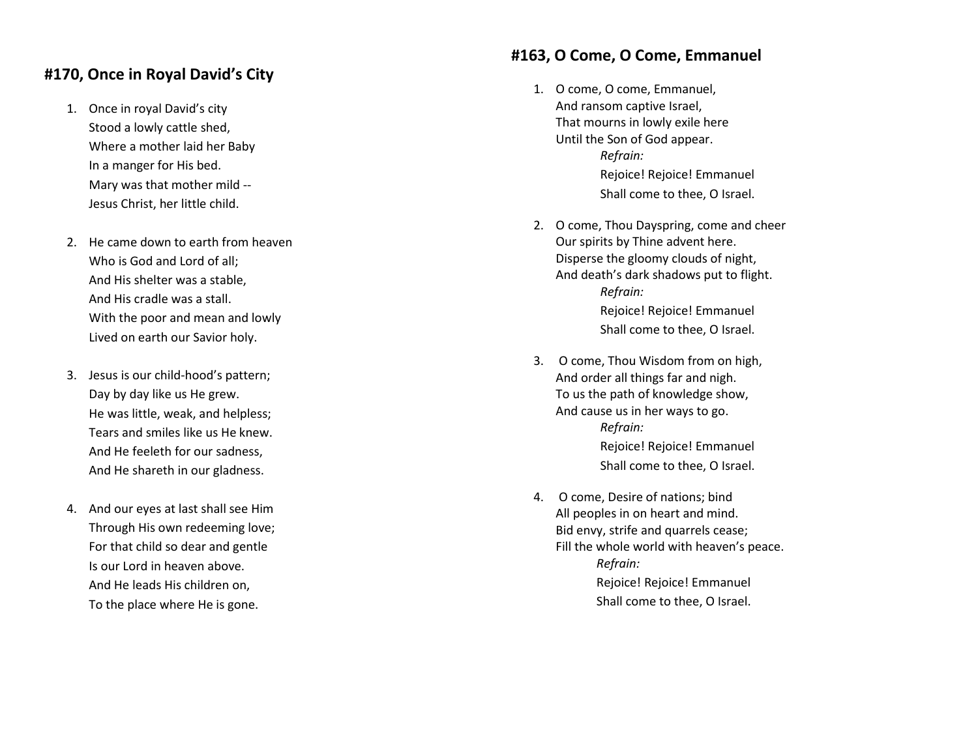# **#170, Once in Royal David's City**

- 1. Once in royal David's city Stood a lowly cattle shed, Where a mother laid her Baby In a manger for His bed. Mary was that mother mild -- Jesus Christ , her little child.
- 2. He came down to earth from heaven Who is God and Lord of all; And His shelter was a stable, And His cradle was a stall. With the poor and mean and lowly Lived on earth our Savior holy.
- 3. Jesus is our child -hood's pattern; Day by day like us He grew. He was little, weak, and helpless; Tears and smiles like us He knew. And He feeleth for our sadness, And He shareth in our gladness.
- 4. And our eyes at last shall see Him Through His own redeeming love; For that child so dear and gentle Is our Lord in heaven above. And He leads His children on, To the place where He is gone.

#### **#163 , O Come, O Come, Emmanuel**

- 1. O come, O come, Emmanuel, And ransom captive Israel , That mourns in lowly exile here Until the Son of God appear. *Refrain:* Rejoice! Rejoice! Emmanuel Shall come to thee, O Israel.
- 2. O come, Thou Dayspring, come and cheer Our spirits by Thine advent here. Disperse the gloomy clouds of night, And death's dark shadows put to flight. *Refrain:* Rejoice! Rejoice! Emmanuel Shall come to thee, O Israel.
- 3. O come, Thou Wisdom from on high, And order all things far and nigh. To us the path of knowledge show, And cause us in her ways to go . *Refrain:* Rejoice! Rejoice! Emmanuel Shall come to thee, O Israel.
- 4. O come, Desire of nations; bind All peoples in on heart and mind. Bid envy, strife and quarrels cease; Fill the whole world with heaven's peace.  *Refrain:* Rejoice! Rejoice! Emmanuel Shall come to thee, O Israel.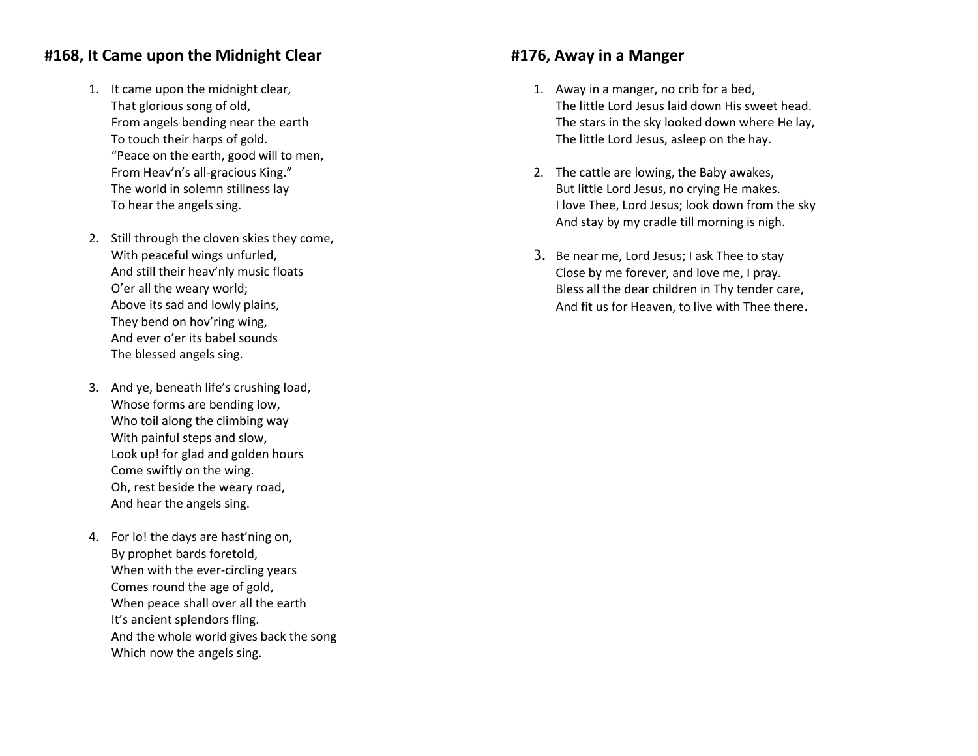## **#168, It Came upon the Midnight Clear**

- 1. It came upon the midnight clear, That glorious song of old, From angels bending near the earth To touch their harps of gold. "Peace on the earth, good will to men, From Heav'n's all-gracious King." The world in solemn stillness lay To hear the angels sing.
- 2. Still through the cloven skies they come, With peaceful wings unfurled, And still their heav'nly music floats O'er all the weary world; Above its sad and lowly plains, They bend on hov'ring wing, And ever o'er its babel sounds The blessed angels sing.
- 3. And ye, beneath life's crushing load, Whose forms are bending low, Who toil along the climbing way With painful steps and slow, Look up! for glad and golden hours Come swiftly on the wing. Oh, rest beside the weary road, And hear the angels sing.
- 4. For lo! the days are hast'ning on, By prophet bards foretold, When with the ever-circling years Comes round the age of gold, When peace shall over all the earth It's ancient splendors fling. And the whole world gives back the song Which now the angels sing.

#### **#176, Away in a Manger**

- 1. Away in a manger, no crib for a bed, The little Lord Jesus laid down His sweet head. The stars in the sky looked down where He lay, The little Lord Jesus, asleep on the hay.
- 2. The cattle are lowing, the Baby awakes, But little Lord Jesus, no crying He makes. I love Thee, Lord Jesus; look down from the sky And stay by my cradle till morning is nigh.
- 3. Be near me, Lord Jesus; I ask Thee to stay Close by me forever, and love me, I pray. Bless all the dear children in Thy tender care, And fit us for Heaven, to live with Thee there.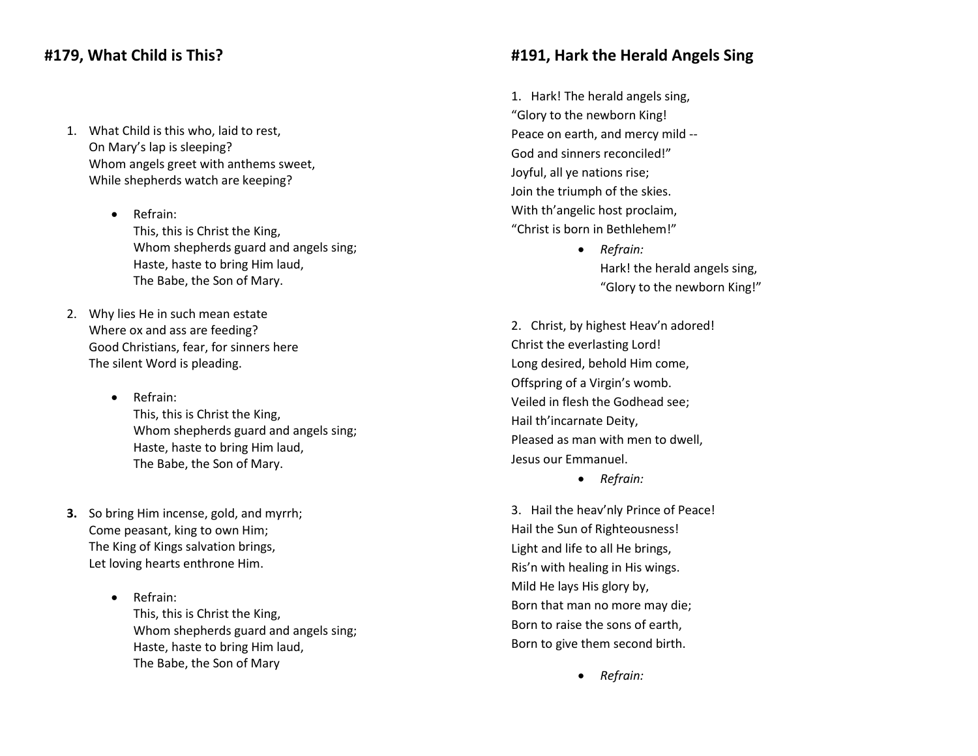## **#179, What Child is This?**

- 1. What Child is this who, laid to rest, On Mary's lap is sleeping? Whom angels greet with anthems sweet, While shepherds watch are keeping?
	- Refrain: This, this is Christ the King, Whom shepherds guard and angels sing; Haste, haste to bring Him laud, The Babe, the Son of Mary.
- 2. Why lies He in such mean estate Where ox and ass are feeding? Good Christians, fear, for sinners here The silent Word is pleading.
	- Refrain: This, this is Christ the King, Whom shepherds guard and angels sing; Haste, haste to bring Him laud, The Babe, the Son of Mary.
- **3.** So bring Him incense, gold, and myrrh; Come peasant, king to own Him; The King of Kings salvation brings, Let loving hearts enthrone Him.
	- Refrain: This, this is Christ the King, Whom shepherds guard and angels sing; Haste, haste to bring Him laud, The Babe, the Son of Mary

#### **#191, Hark the Herald Angels Sing**

1. Hark! The herald angels sing, "Glory to the newborn King! Peace on earth, and mercy mild -- God and sinners reconciled!" Joyful, all ye nations rise; Join the triumph of the skies. With th'angelic host proclaim, "Christ is born in Bethlehem!"

- *Refrain:* Hark! the herald angels sing, "Glory to the newborn King!"
- 2. Christ, by highest Heav'n adored! Christ the everlasting Lord! Long desired, behold Him come, Offspring of a Virgin's womb. Veiled in flesh the Godhead see; Hail th'incarnate Deity, Pleased as man with men to dwell, Jesus our Emmanuel.
	- *Refrain:*

3. Hail the heav'nly Prince of Peace! Hail the Sun of Righteousness! Light and life to all He brings, Ris'n with healing in His wings. Mild He lays His glory by, Born that man no more may die; Born to raise the sons of earth, Born to give them second birth.

*Refrain:*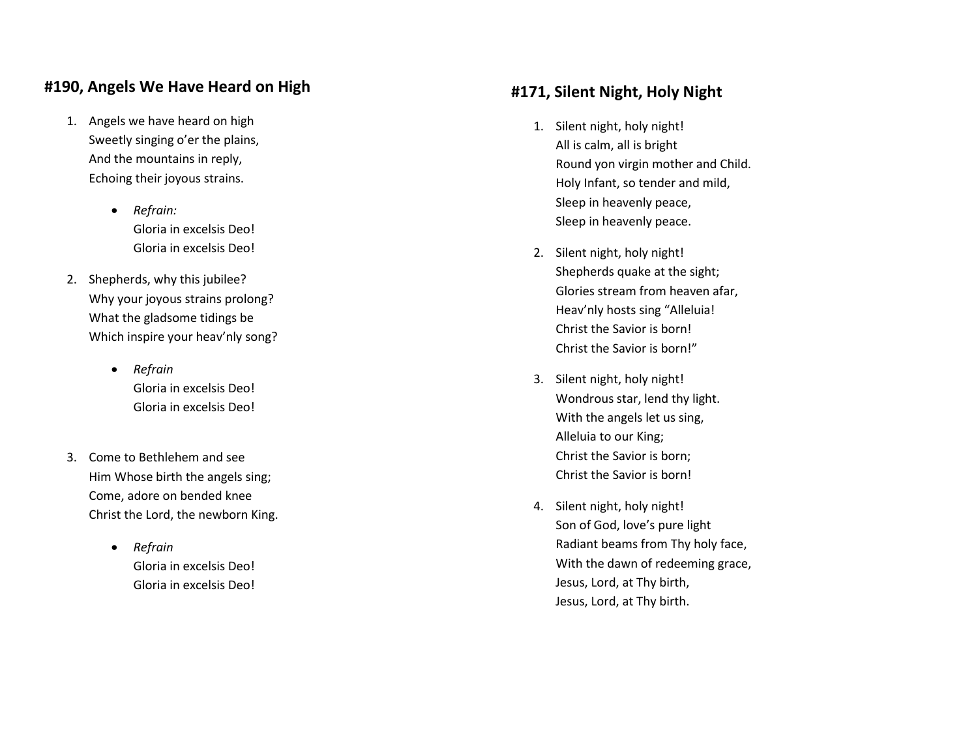# **#190, Angels We Have Heard on High**

- 1. Angels we have heard on high Sweetly singing o'er the plains, And the mountains in reply , Echoing their joyous strains.
	- *Refrain:* Gloria in excelsis Deo! Gloria in excelsis Deo!
- 2. Shepherds, why this jubilee? Why your joyous strains prolong? What the gladsome tidings be Which inspire your heav'nly song?
	- *Refrain* Gloria in excelsis Deo! Gloria in excelsis Deo!
- 3. Come to Bethlehem and see Him Whose birth the angels sing; Come, adore on bended knee Christ the Lord, the newborn King.
	- *Refrain* Gloria in excelsis Deo! Gloria in excelsis Deo!

# **#171, Silent Night, Holy Night**

- 1. Silent night, holy night! All is calm, all is bright Round yon virgin mother and Child. Holy Infant, so tender and mild, Sleep in heavenly peace, Sleep in heavenly peace.
- 2. Silent night, holy night! Shepherds quake at the sight; Glories stream from heaven afar, Heav'nly hosts sing "Alleluia! Christ the Savior is born! Christ the Savior is born! "
- 3. Silent night, holy night! Wondrous star, lend thy light. With the angels let us sing, Alleluia to our King; Christ the Savior is born; Christ the Savior is born!
- 4. Silent night, holy night! Son of God, love's pure light Radiant beams from Thy holy face , With the dawn of redeeming grace, Jesus, Lord, at Thy birth, Jesus, Lord, at Thy birth.